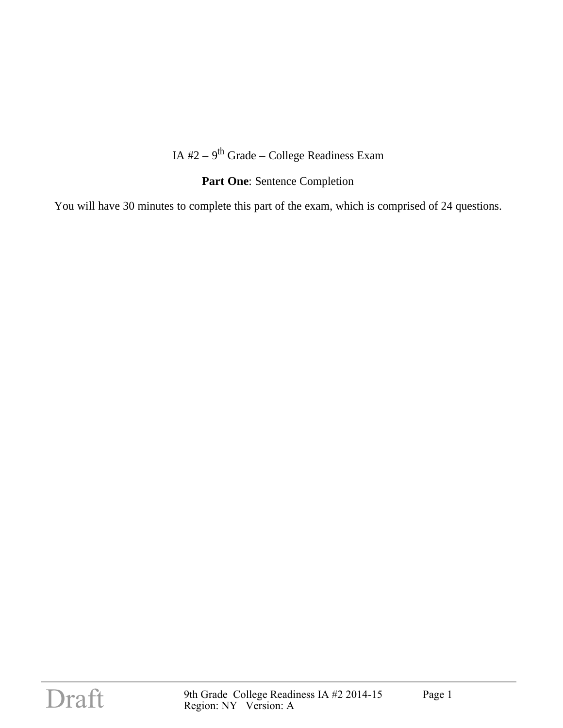### IA  $#2 - 9$ <sup>th</sup> Grade – College Readiness Exam

## Part One: Sentence Completion

You will have 30 minutes to complete this part of the exam, which is comprised of 24 questions.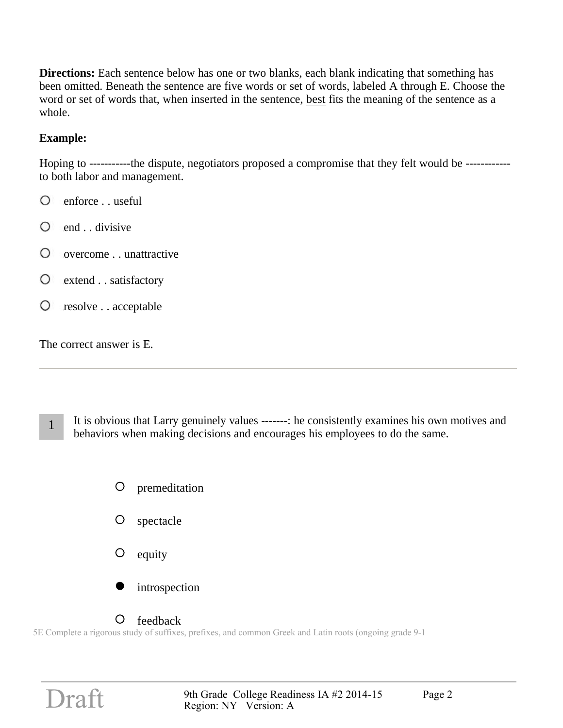**Directions:** Each sentence below has one or two blanks, each blank indicating that something has been omitted. Beneath the sentence are five words or set of words, labeled A through E. Choose the word or set of words that, when inserted in the sentence, best fits the meaning of the sentence as a whole.

### **Example:**

Hoping to -----------the dispute, negotiators proposed a compromise that they felt would be ----------- to both labor and management.

- O enforce . . useful
- $\circ$ end . . divisive
- O overcome . . unattractive
- extend . . satisfactory
- O resolve . . acceptable

The correct answer is E.

- 1 It is obvious that Larry genuinely values -------: he consistently examines his own motives and behaviors when making decisions and encourages his employees to do the same.
	- O premeditation O spectacle
	- $\circ$ equity
	- introspection

#### $\Omega$ feedback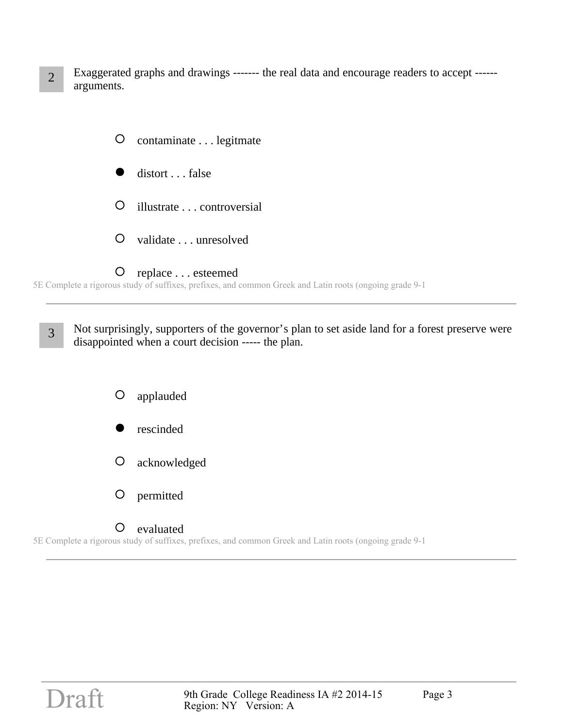2 Exaggerated graphs and drawings ------- the real data and encourage readers to accept ----- arguments.



5E Complete a rigorous study of suffixes, prefixes, and common Greek and Latin roots (ongoing grade 9-1

3 Not surprisingly, supporters of the governor's plan to set aside land for a forest preserve were disappointed when a court decision ----- the plan.

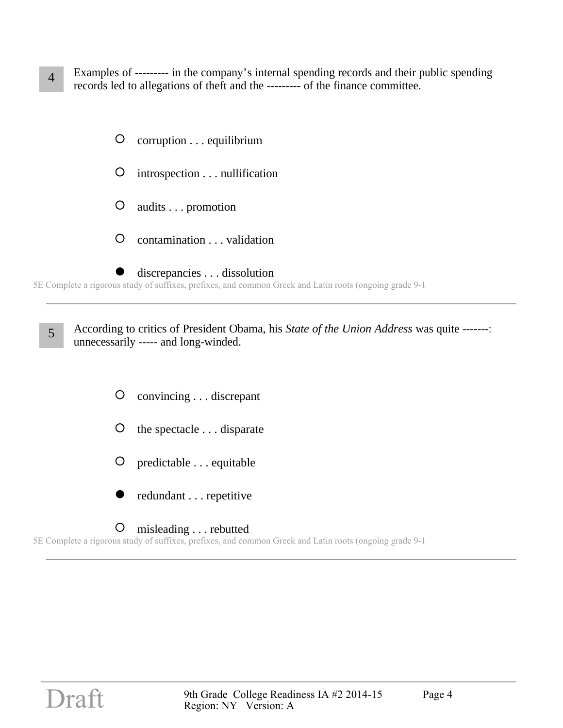- 4 Examples of --------- in the company's internal spending records and their public spending records led to allegations of theft and the --------- of the finance committee.
	- $\bigcirc$ corruption . . . equilibrium
	- $\circ$ introspection . . . nullification
	- $\circ$ audits . . . promotion
	- $\circ$ contamination . . . validation
	- discrepancies . . . dissolution

5E Complete a rigorous study of suffixes, prefixes, and common Greek and Latin roots (ongoing grade 9-1

5 According to critics of President Obama, his *State of the Union Address* was quite -------: unnecessarily ----- and long-winded.

- $\circ$ convincing . . . discrepant
- O the spectacle . . . disparate
- O predictable . . . equitable
- redundant . . . repetitive

#### $\circ$ misleading . . . rebutted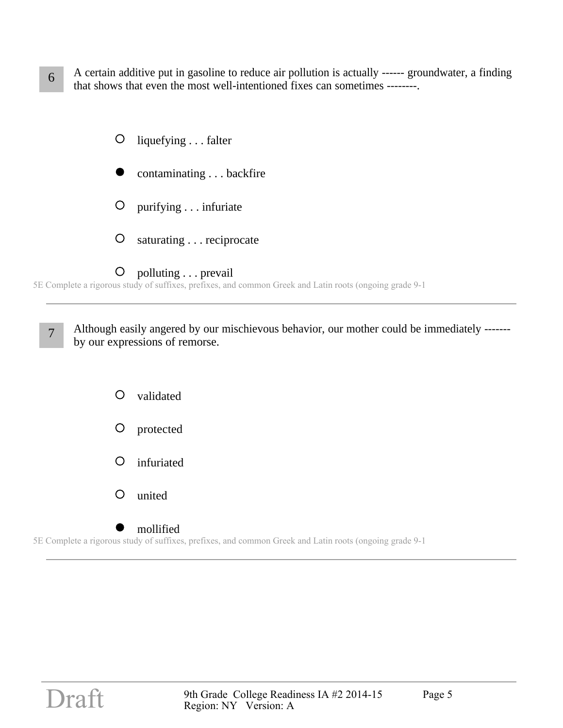- 6 A certain additive put in gasoline to reduce air pollution is actually ------ groundwater, a finding that shows that even the most well-intentioned fixes can sometimes --------.
	- $\bigcirc$ liquefying . . . falter contaminating . . . backfire O purifying . . . infuriate  $\bigcirc$ saturating . . . reciprocate  $\bigcirc$ polluting . . . prevail

5E Complete a rigorous study of suffixes, prefixes, and common Greek and Latin roots (ongoing grade 9-1

7 Although easily angered by our mischievous behavior, our mother could be immediately ------by our expressions of remorse.

> $\circ$ validated O protected O infuriated  $\circ$ united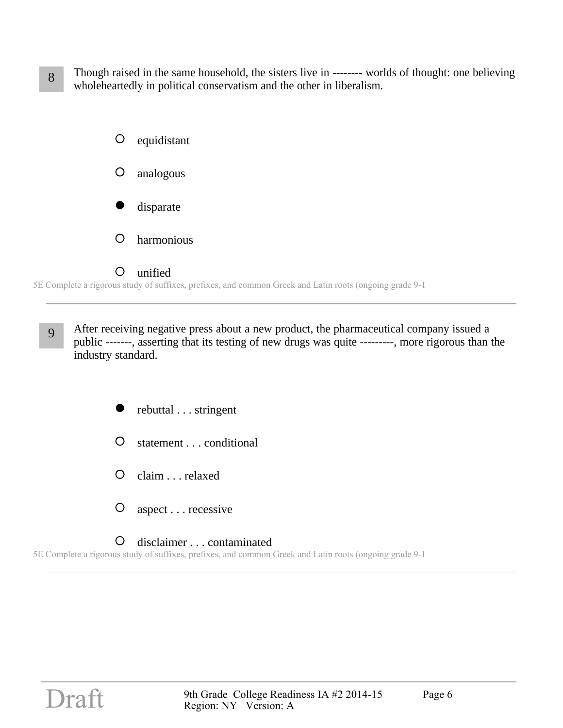8 Though raised in the same household, the sisters live in -------- worlds of thought: one believing wholeheartedly in political conservatism and the other in liberalism.



9 After receiving negative press about a new product, the pharmaceutical company issued a public -------, asserting that its testing of new drugs was quite ---------, more rigorous than the industry standard.

rebuttal . . . stringent

- $\circ$ statement . . . conditional
- $\circ$ claim . . . relaxed
- $\bigcirc$ aspect . . . recessive

 $\circ$ disclaimer . . . contaminated 5E Complete a rigorous study of suffixes, prefixes, and common Greek and Latin roots (ongoing grade 9-1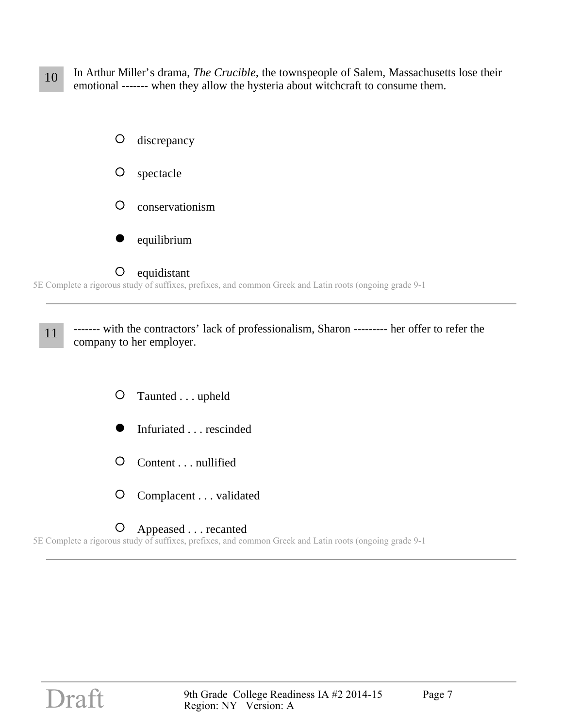10 In Arthur Miller's drama, *The Crucible,* the townspeople of Salem, Massachusetts lose their emotional ------- when they allow the hysteria about witchcraft to consume them.



5E Complete a rigorous study of suffixes, prefixes, and common Greek and Latin roots (ongoing grade 9-1

11 ------- with the contractors' lack of professionalism, Sharon --------- her offer to refer the company to her employer.

- $\circ$ Taunted . . . upheld
- Infuriated . . . rescinded
- $\circ$ Content . . . nullified
- $\circ$ Complacent . . . validated

#### O Appeased . . . recanted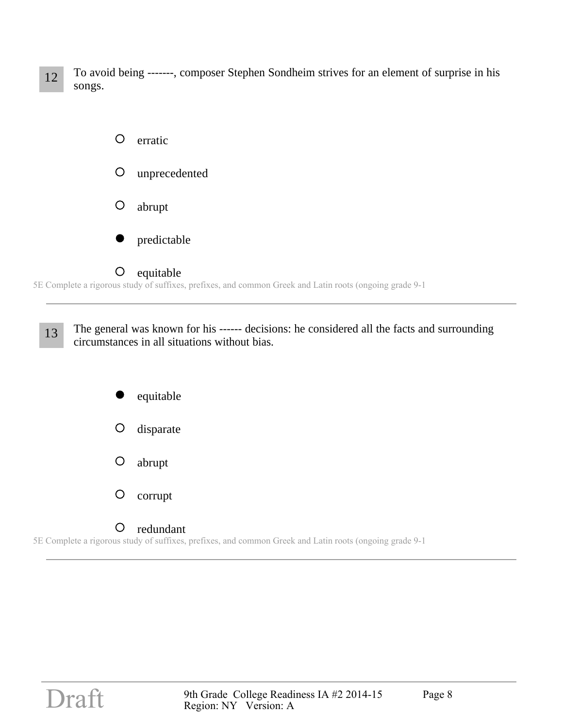12 To avoid being -------, composer Stephen Sondheim strives for an element of surprise in his songs.



5E Complete a rigorous study of suffixes, prefixes, and common Greek and Latin roots (ongoing grade 9-1

13 The general was known for his ------ decisions: he considered all the facts and surrounding circumstances in all situations without bias.

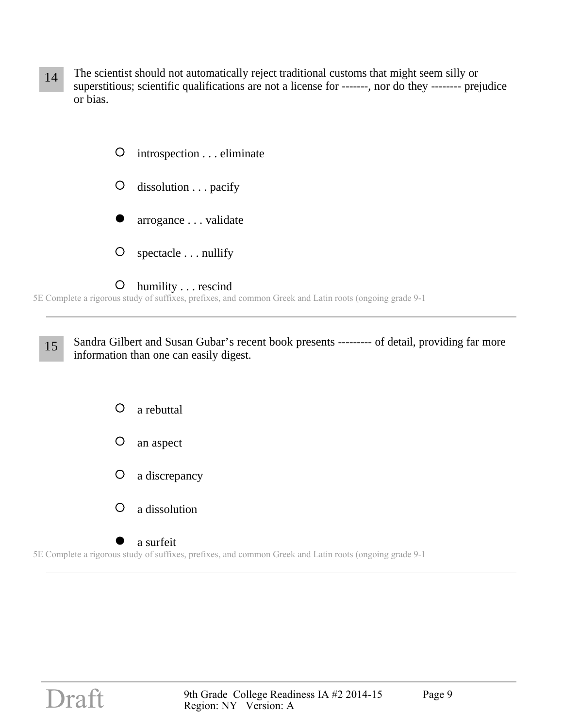14 The scientist should not automatically reject traditional customs that might seem silly or superstitious; scientific qualifications are not a license for -------, nor do they -------- prejudice or bias.



5E Complete a rigorous study of suffixes, prefixes, and common Greek and Latin roots (ongoing grade 9-1

15 Sandra Gilbert and Susan Gubar's recent book presents --------- of detail, providing far more information than one can easily digest.

- $\bigcirc$ a rebuttal  $\circ$ an aspect O a discrepancy
- $\bigcirc$ a dissolution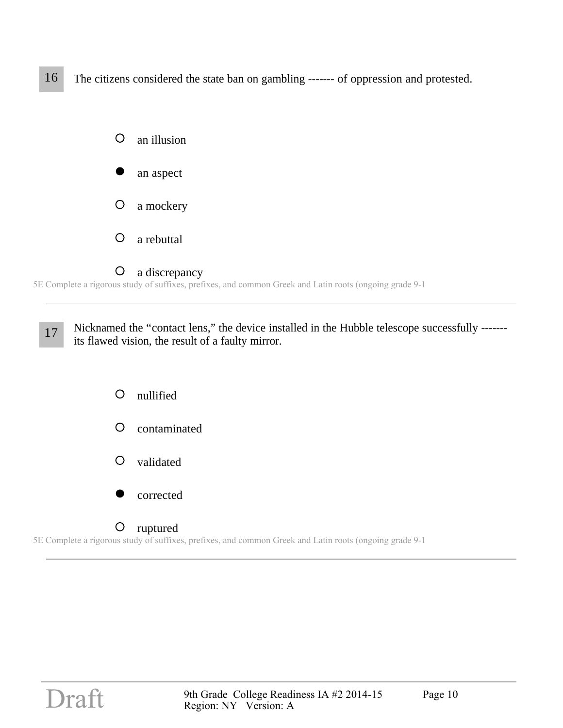16 The citizens considered the state ban on gambling ------- of oppression and protested.



17 Nicknamed the "contact lens," the device installed in the Hubble telescope successfully ------its flawed vision, the result of a faulty mirror.

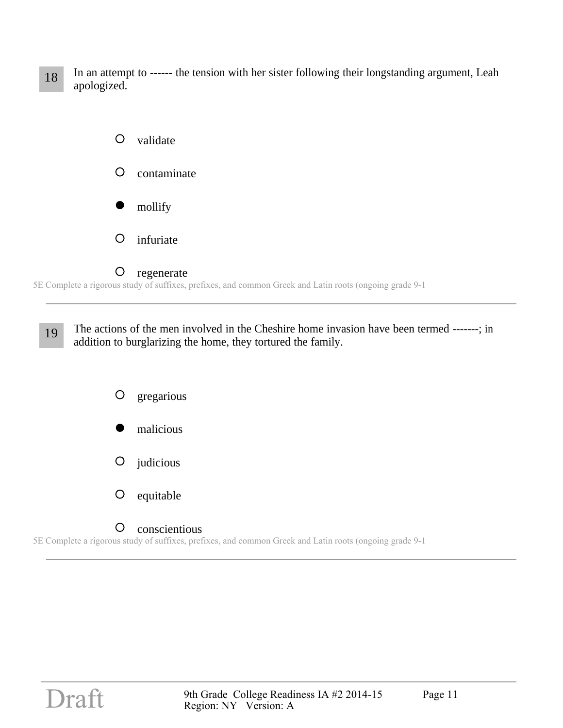18 In an attempt to ------ the tension with her sister following their longstanding argument, Leah apologized.



19 The actions of the men involved in the Cheshire home invasion have been termed -------; in addition to burglarizing the home, they tortured the family.

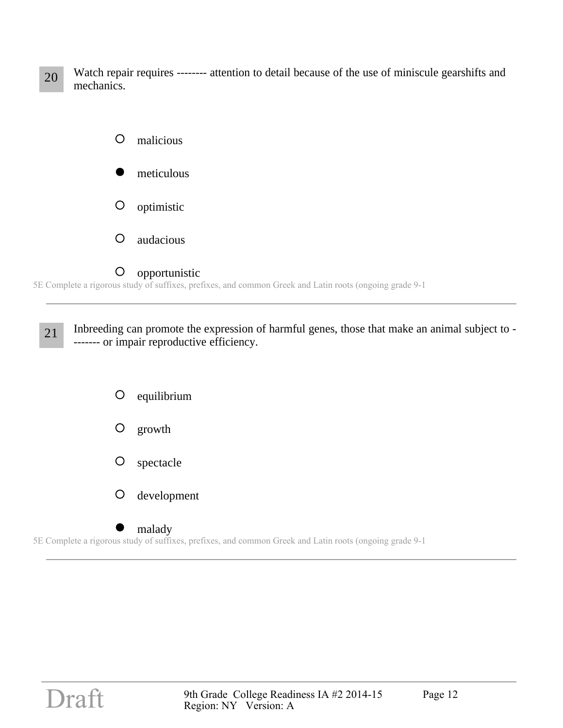20 Watch repair requires -------- attention to detail because of the use of miniscule gearshifts and mechanics.



#### 5E Complete a rigorous study of suffixes, prefixes, and common Greek and Latin roots (ongoing grade 9-1

21 Inbreeding can promote the expression of harmful genes, those that make an animal subject to -------- or impair reproductive efficiency.



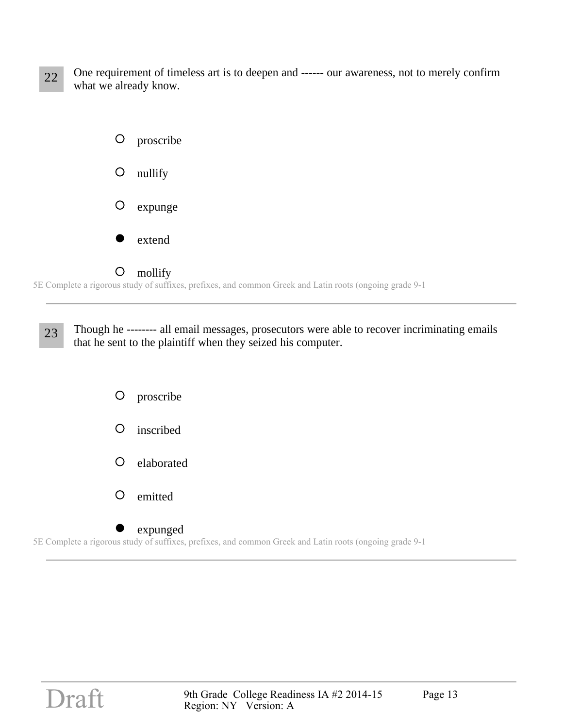22 One requirement of timeless art is to deepen and ------ our awareness, not to merely confirm what we already know.



5E Complete a rigorous study of suffixes, prefixes, and common Greek and Latin roots (ongoing grade 9-1

23 Though he -------- all email messages, prosecutors were able to recover incriminating emails that he sent to the plaintiff when they seized his computer.



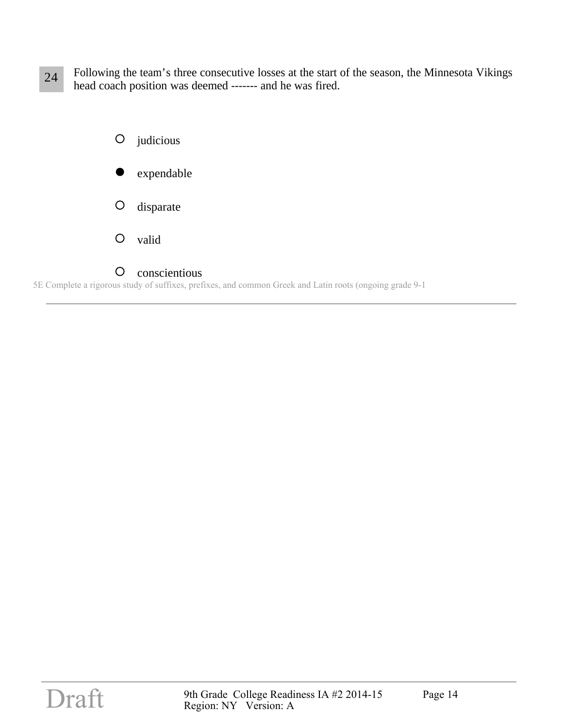24 Following the team's three consecutive losses at the start of the season, the Minnesota Vikings head coach position was deemed ------- and he was fired.



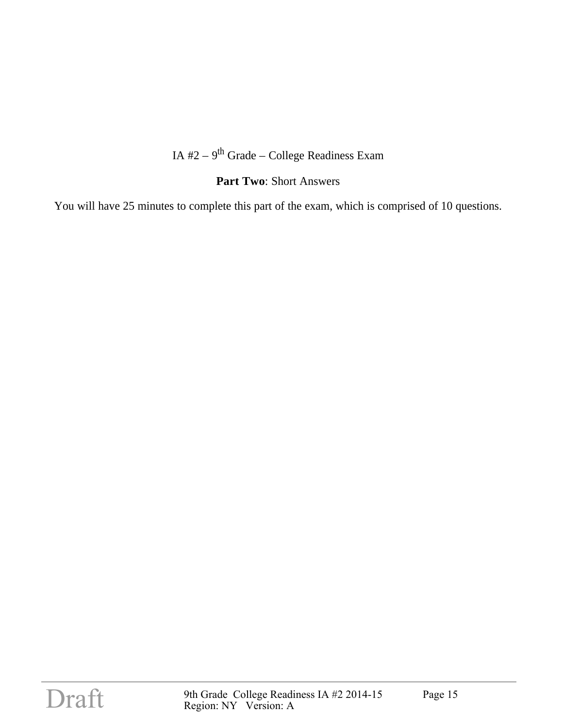## IA  $#2 - 9$ <sup>th</sup> Grade – College Readiness Exam

#### **Part Two**: Short Answers

You will have 25 minutes to complete this part of the exam, which is comprised of 10 questions.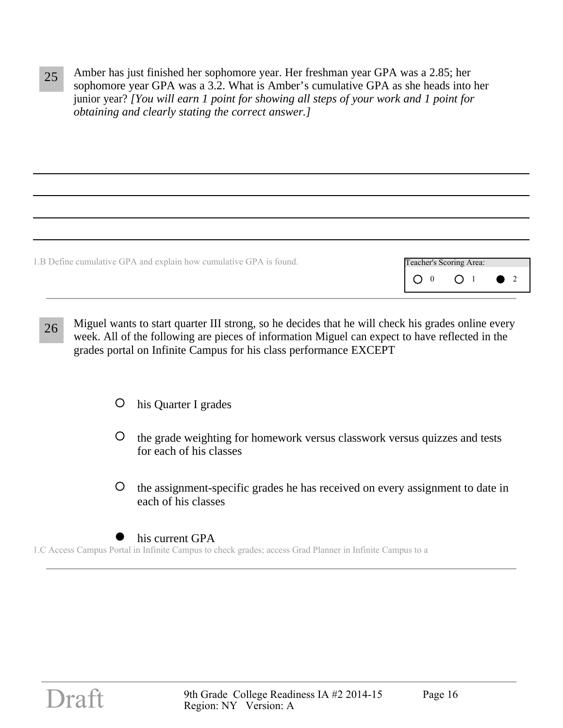25 Amber has just finished her sophomore year. Her freshman year GPA was a 2.85; her sophomore year GPA was a 3.2. What is Amber's cumulative GPA as she heads into her junior year? *[You will earn 1 point for showing all steps of your work and 1 point for obtaining and clearly stating the correct answer.]*

1.B Define cumulative GPA and explain how cumulative GPA is found.

| Teacher's Scoring Area: |  |  |
|-------------------------|--|--|
|                         |  |  |

- 26 Miguel wants to start quarter III strong, so he decides that he will check his grades online every week. All of the following are pieces of information Miguel can expect to have reflected in the grades portal on Infinite Campus for his class performance EXCEPT
	- his Quarter I grades  $\circ$
	- the grade weighting for homework versus classwork versus quizzes and tests for each of his classes
	- $\circ$ the assignment-specific grades he has received on every assignment to date in each of his classes
- 1.C Access Campus Portal in Infinite Campus to check grades; access Grad Planner in Infinite Campus to a his current GPA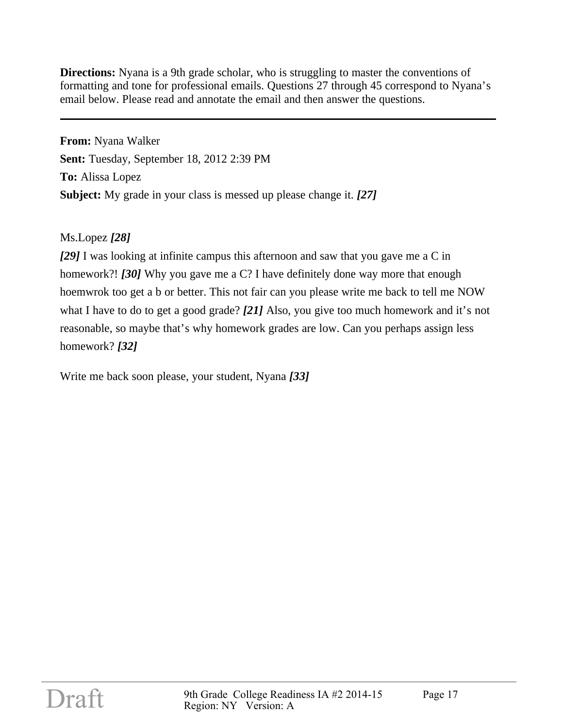**Directions:** Nyana is a 9th grade scholar, who is struggling to master the conventions of formatting and tone for professional emails. Questions 27 through 45 correspond to Nyana's email below. Please read and annotate the email and then answer the questions.

**From:** Nyana Walker **Sent:** Tuesday, September 18, 2012 2:39 PM **To:** Alissa Lopez **Subject:** My grade in your class is messed up please change it. *[27]*

Ms.Lopez *[28]*

*[29]* I was looking at infinite campus this afternoon and saw that you gave me a C in homework?! *[30]* Why you gave me a C? I have definitely done way more that enough hoemwrok too get a b or better. This not fair can you please write me back to tell me NOW what I have to do to get a good grade? *[21]* Also, you give too much homework and it's not reasonable, so maybe that's why homework grades are low. Can you perhaps assign less homework? *[32]*

Write me back soon please, your student, Nyana *[33]*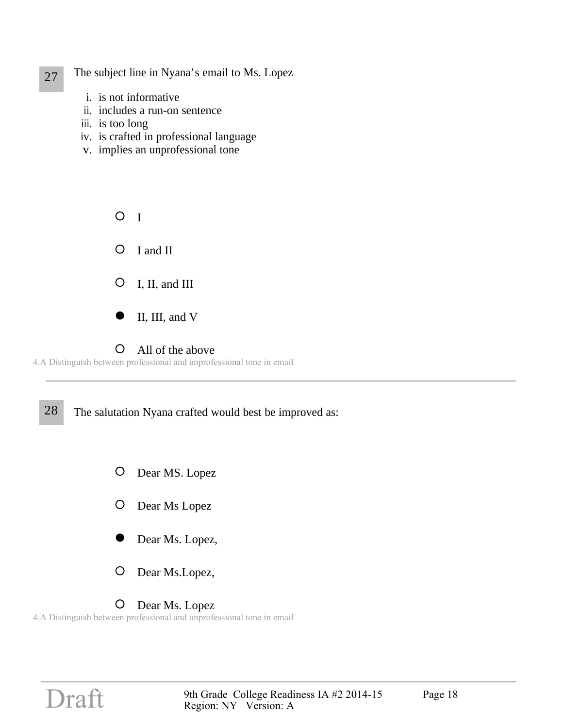# 27 The subject line in Nyana's email to Ms. Lopez

- i. is not informative
- ii. includes a run-on sentence
- iii. is too long
- iv. is crafted in professional language
- v. implies an unprofessional tone

 $O<sub>I</sub>$  $\circ$ I and II  $\bigcirc$ I, II, and III II, III, and V

 $\bigcirc$ 

4.A Distinguish between professional and unprofessional tone in email

All of the above

28 The salutation Nyana crafted would best be improved as:

- $\bigcirc$ Dear MS. Lopez
- Dear Ms Lopez  $\bigcirc$
- Dear Ms. Lopez,
- $\bigcirc$ Dear Ms.Lopez,

#### O Dear Ms. Lopez

4.A Distinguish between professional and unprofessional tone in email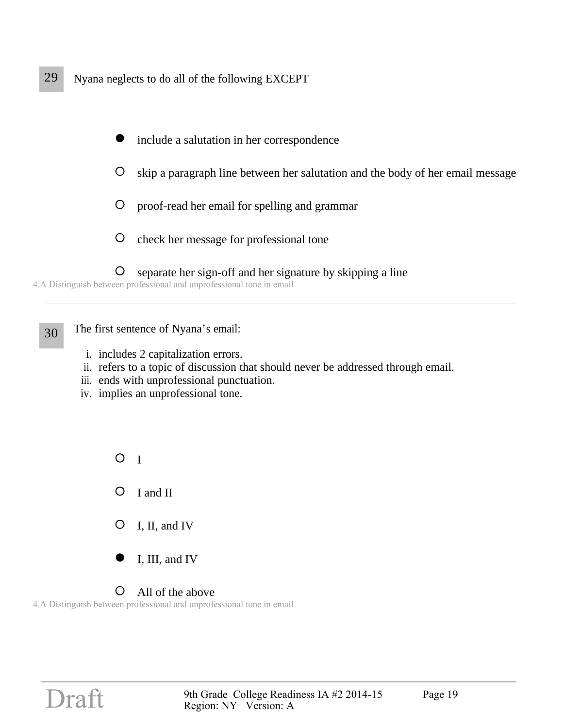

4.A Distinguish between professional and unprofessional tone in email

30 The first sentence of Nyana's email:

- i. includes 2 capitalization errors.
- ii. refers to a topic of discussion that should never be addressed through email.
- iii. ends with unprofessional punctuation.
- iv. implies an unprofessional tone.

 $O<sub>I</sub>$  $\circ$ I and II  $\circ$ I, II, and IV I, III, and IV  $\bigcirc$ 

#### All of the above

4.A Distinguish between professional and unprofessional tone in email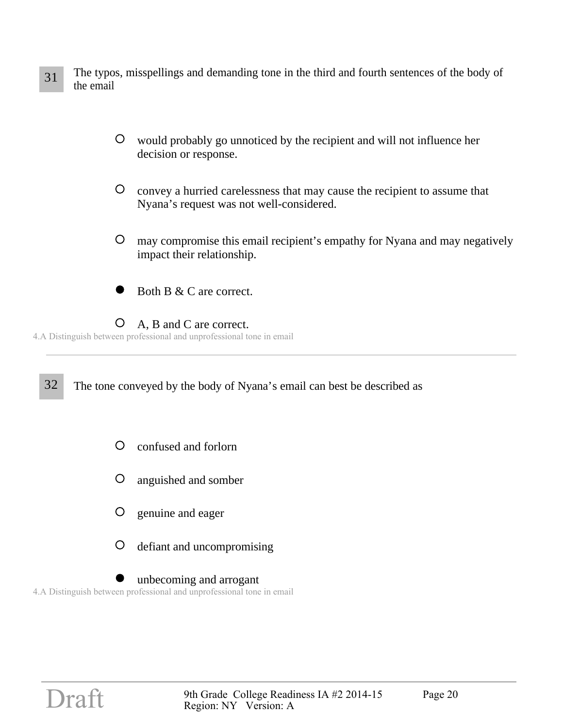- 31 The typos, misspellings and demanding tone in the third and fourth sentences of the body of the email
	- $\circ$ would probably go unnoticed by the recipient and will not influence her decision or response.
	- $\circ$ convey a hurried carelessness that may cause the recipient to assume that Nyana's request was not well-considered.
	- $\bigcirc$ may compromise this email recipient's empathy for Nyana and may negatively impact their relationship.
	- Both B & C are correct.
	- $\circ$ A, B and C are correct.
- 4.A Distinguish between professional and unprofessional tone in email

32 The tone conveyed by the body of Nyana's email can best be described as

- $\circ$ confused and forlorn
- $\circ$ anguished and somber
- $\circ$ genuine and eager
- $\circ$ defiant and uncompromising
- 4.A Distinguish between professional and unprofessional tone in email unbecoming and arrogant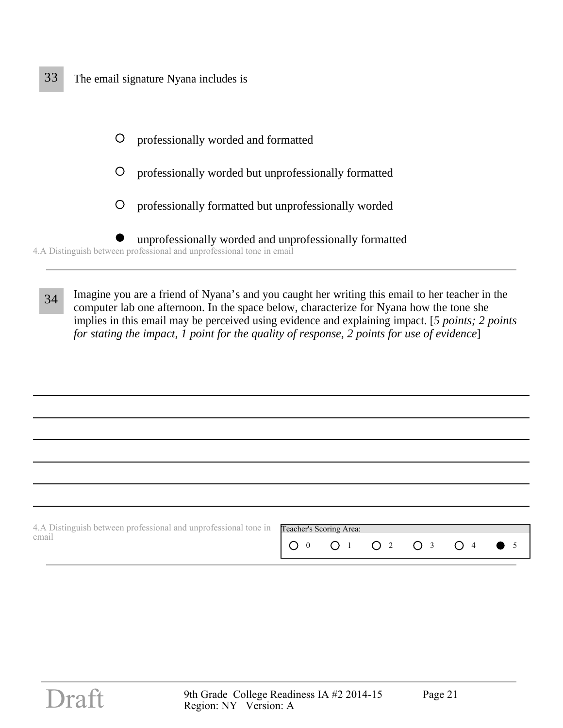## 33 The email signature Nyana includes is



34 Imagine you are a friend of Nyana's and you caught her writing this email to her teacher in the computer lab one afternoon. In the space below, characterize for Nyana how the tone she implies in this email may be perceived using evidence and explaining impact. [*5 points; 2 points for stating the impact, 1 point for the quality of response, 2 points for use of evidence*]

| 4. A Distinguish between professional and unprofessional tone in <b>Teacher's Scoring Area:</b> |                           |  |  |  |
|-------------------------------------------------------------------------------------------------|---------------------------|--|--|--|
| email                                                                                           | $100$ 0 1 0 2 0 3 0 4 0 5 |  |  |  |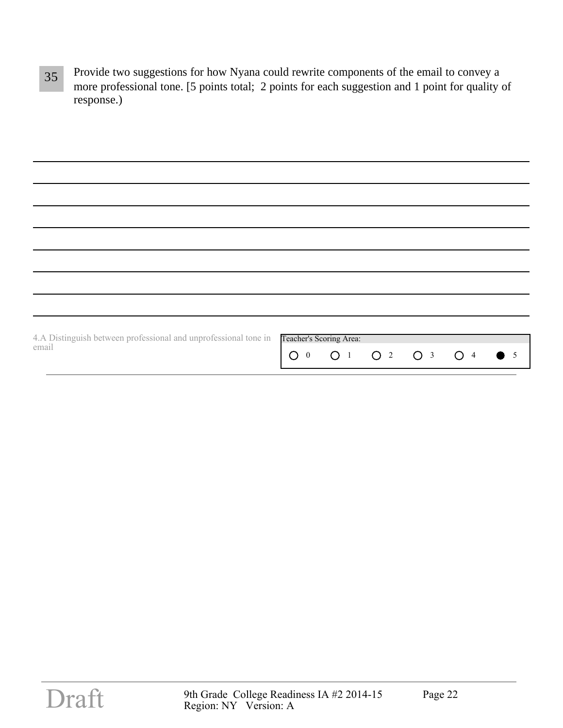35 Provide two suggestions for how Nyana could rewrite components of the email to convey a more professional tone. [5 points total; 2 points for each suggestion and 1 point for quality of response.)

| 4.A Distinguish between professional and unprofessional tone in<br>email | Teacher's Scoring Area:<br>O 0 O 1 O 2 O 3 O 4 O 5 |  |  |
|--------------------------------------------------------------------------|----------------------------------------------------|--|--|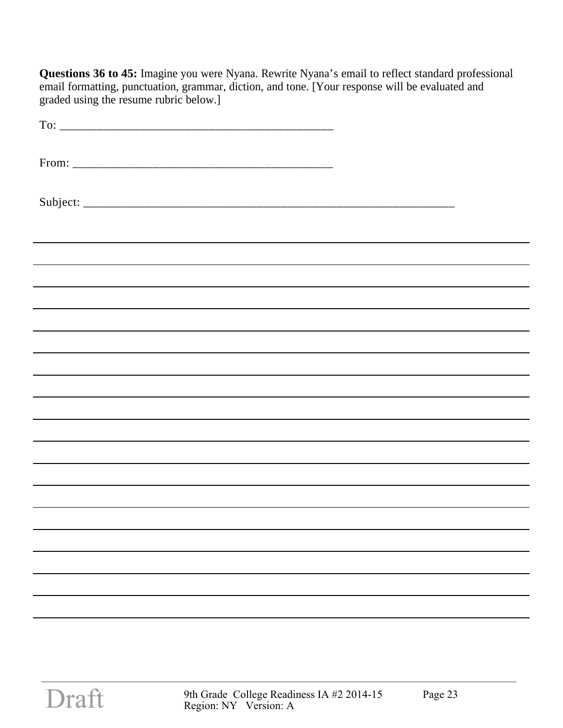**Questions 36 to 45:** Imagine you were Nyana. Rewrite Nyana's email to reflect standard professional email formatting, punctuation, grammar, diction, and tone. [Your response will be evaluated and graded using the resume rubric below.]

| ,我们也不会有什么。""我们的人,我们也不会有什么?""我们的人,我们也不会有什么?""我们的人,我们也不会有什么?""我们的人,我们也不会有什么?""我们的人 |
|----------------------------------------------------------------------------------|
|                                                                                  |
|                                                                                  |
|                                                                                  |
|                                                                                  |
|                                                                                  |
|                                                                                  |
|                                                                                  |
|                                                                                  |
|                                                                                  |
|                                                                                  |
|                                                                                  |
|                                                                                  |
|                                                                                  |
|                                                                                  |
|                                                                                  |
|                                                                                  |
|                                                                                  |
|                                                                                  |
|                                                                                  |
|                                                                                  |
|                                                                                  |
|                                                                                  |
|                                                                                  |
|                                                                                  |
|                                                                                  |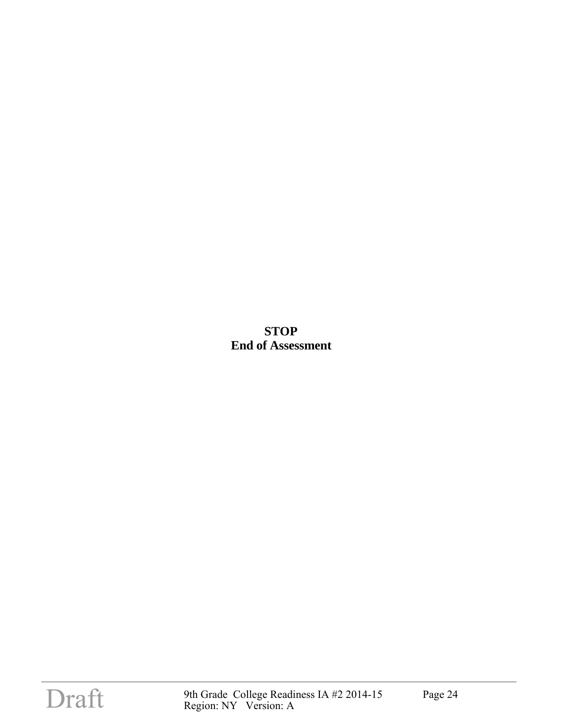**STOP End of Assessment**

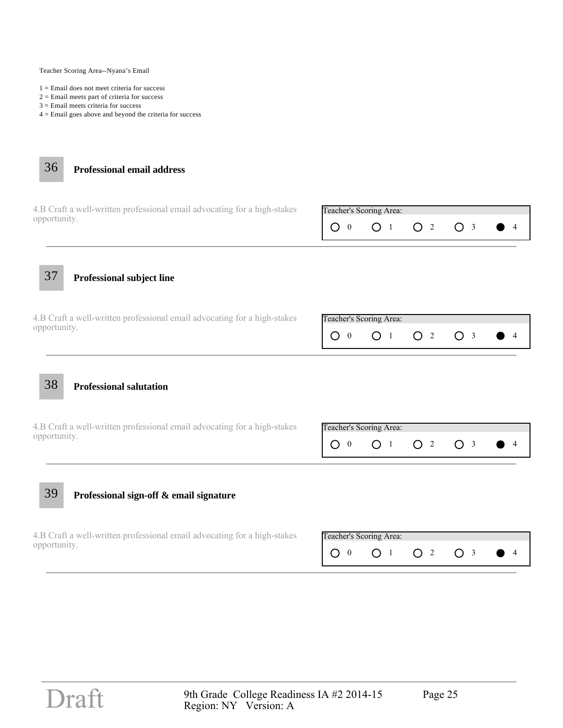Teacher Scoring Area--Nyana's Email

- 1 = Email does not meet criteria for success
- 2 = Email meets part of criteria for success
- 3 = Email meets criteria for success
- 4 = Email goes above and beyond the criteria for success



| 4.B Craft a well-written professional email advocating for a high-stakes | Teacher's Scoring Area: |  |                                                        |
|--------------------------------------------------------------------------|-------------------------|--|--------------------------------------------------------|
| opportunity.                                                             |                         |  | $1 \cap 0$ $0 \cap 1$ $0 \cap 2$ $0 \cap 3$ $0 \cap 4$ |

l

37 **Professional subject line**

4.B Craft a well-written professional email advocating for a high-stakes opportunity.

| Teacher's Scoring Area: |  |  |
|-------------------------|--|--|
|                         |  |  |

38 **Professional salutation**

4.B Craft a well-written professional email advocating for a high-stakes opportunity.

| Teacher's Scoring Area: |  |  |
|-------------------------|--|--|
|                         |  |  |

## 39 **Professional sign-off & email signature**

4.B Craft a well-written professional email advocating for a high-stakes opportunity.

| Teacher's Scoring Area: |  |  |
|-------------------------|--|--|
|                         |  |  |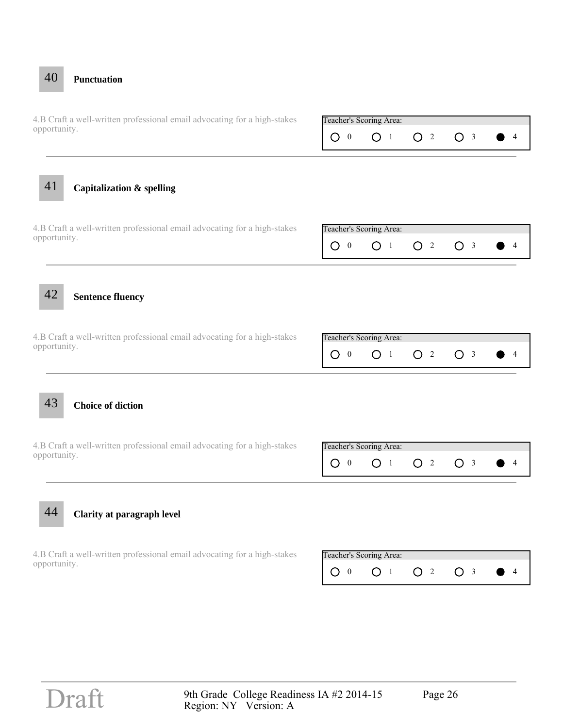# O 0 0 1 O 2 O 3 0 4 4.B Craft a well-written professional email advocating for a high-stakes Teacher's Scoring Area: opportunity. O 0 0 1 O 2 O 3 0 4 4.B Craft a well-written professional email advocating for a high-stakes Teacher's Scoring Area: opportunity. 44 **Clarity at paragraph level** O 0 0 1 O 2 O 3 0 4 4.B Craft a well-written professional email advocating for a high-stakes Teacher's Scoring Area: opportunity. 43 **Choice of diction** O 0 0 1 O 2 O 3 0 4 4.B Craft a well-written professional email advocating for a high-stakes Teacher's Scoring Area: opportunity. 42 **Sentence fluency** O 0 0 1 O 2 O 3 0 4 4.B Craft a well-written professional email advocating for a high-stakes Teacher's Scoring Area: opportunity. 41 **Capitalization & spelling**

40 **Punctuation**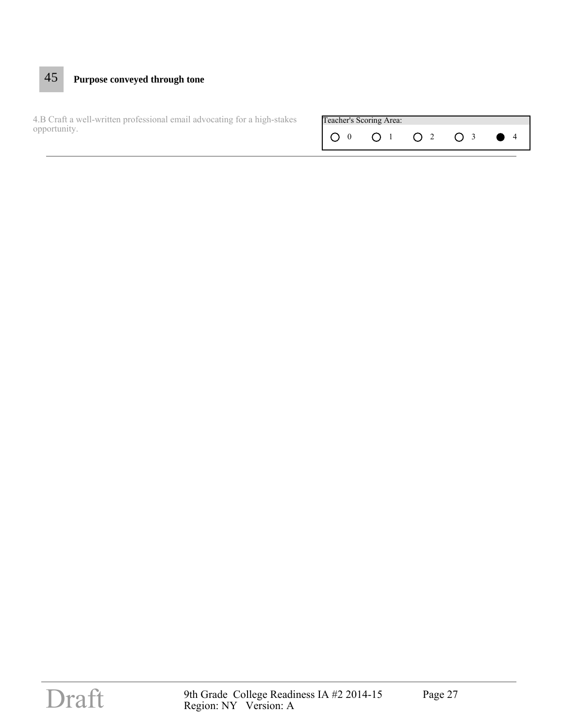# 45 **Purpose conveyed through tone**

4.B Craft a well-written professional email advocating for a high-stakes **Teacher's Scoring Area:** opportunity.

| Teacher's Scoring Area: |  |  |
|-------------------------|--|--|
|                         |  |  |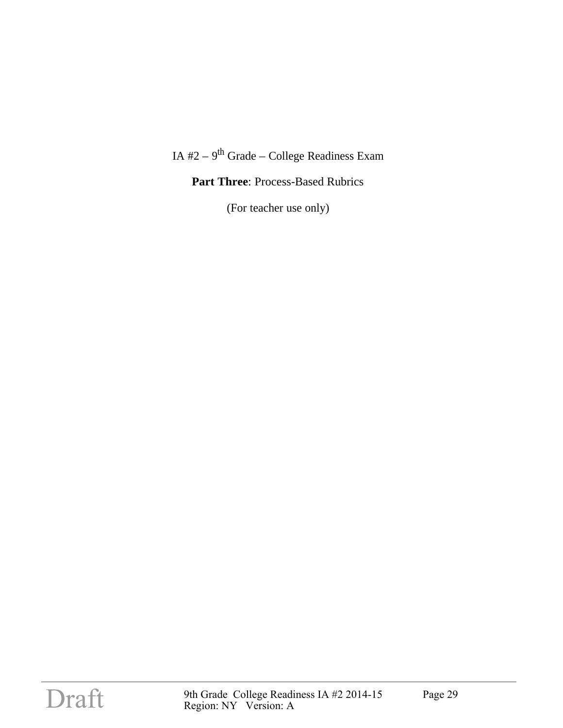### IA  $#2 - 9$ <sup>th</sup> Grade – College Readiness Exam

#### Part Three: Process-Based Rubrics

(For teacher use only)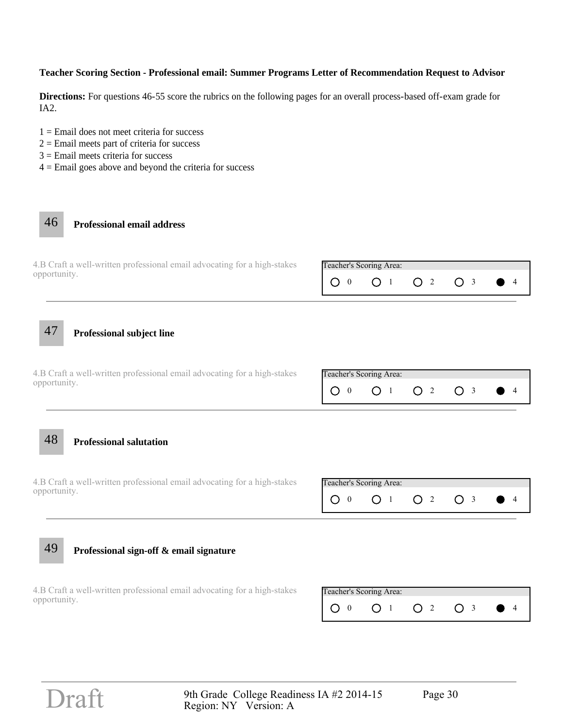#### **Teacher Scoring Section - Professional email: Summer Programs Letter of Recommendation Request to Advisor**

**Directions:** For questions 46-55 score the rubrics on the following pages for an overall process-based off-exam grade for IA2.

- $1 =$  Email does not meet criteria for success
- $2 =$  Email meets part of criteria for success
- $3 =$  Email meets criteria for success
- $4 =$  Email goes above and beyond the criteria for success

### 46 **Professional email address**

| 4.B Craft a well-written professional email advocating for a high-stakes | Teacher's Scoring Area: |  |  |
|--------------------------------------------------------------------------|-------------------------|--|--|
| opportunity.                                                             |                         |  |  |

47 **Professional subject line**

O 0 0 1 O 2 O 3 0 4 4.B Craft a well-written professional email advocating for a high-stakes Teacher's Scoring Area: opportunity.

48 **Professional salutation**

4.B Craft a well-written professional email advocating for a high-stakes **Teacher's Scoring Area:** opportunity.



#### 49 **Professional sign-off & email signature**

4.B Craft a well-written professional email advocating for a high-stakes opportunity.

| Teacher's Scoring Area: |  |  |
|-------------------------|--|--|
|                         |  |  |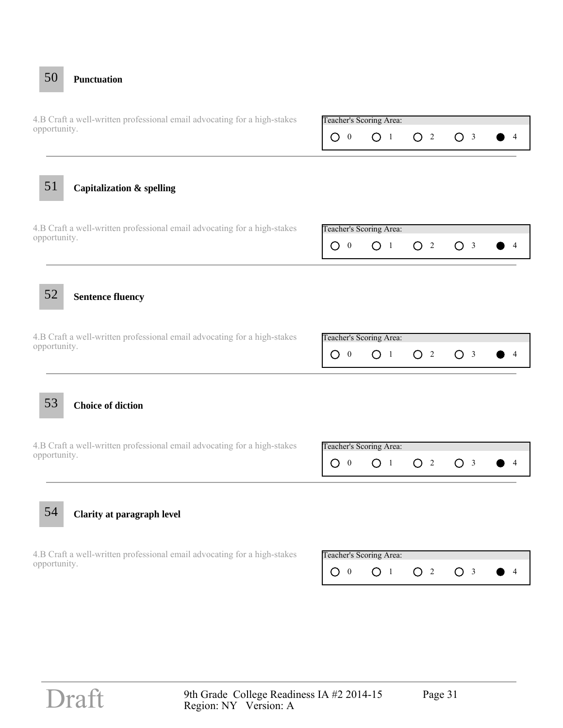# O 0 0 1 O 2 O 3 0 4 4.B Craft a well-written professional email advocating for a high-stakes Teacher's Scoring Area: opportunity. O 0 0 1 O 2 O 3 0 4 4.B Craft a well-written professional email advocating for a high-stakes Teacher's Scoring Area: opportunity. 53 **Choice of diction** O 0 0 1 O 2 O 3 0 4 4.B Craft a well-written professional email advocating for a high-stakes Teacher's Scoring Area: opportunity. 52 **Sentence fluency** O 0 0 1 O 2 O 3 0 4 4.B Craft a well-written professional email advocating for a high-stakes Teacher's Scoring Area: opportunity. 51 **Capitalization & spelling**

54 **Clarity at paragraph level**

50 **Punctuation**

4.B Craft a well-written professional email advocating for a high-stakes opportunity.

| Teacher's Scoring Area: |  |  |
|-------------------------|--|--|
|                         |  |  |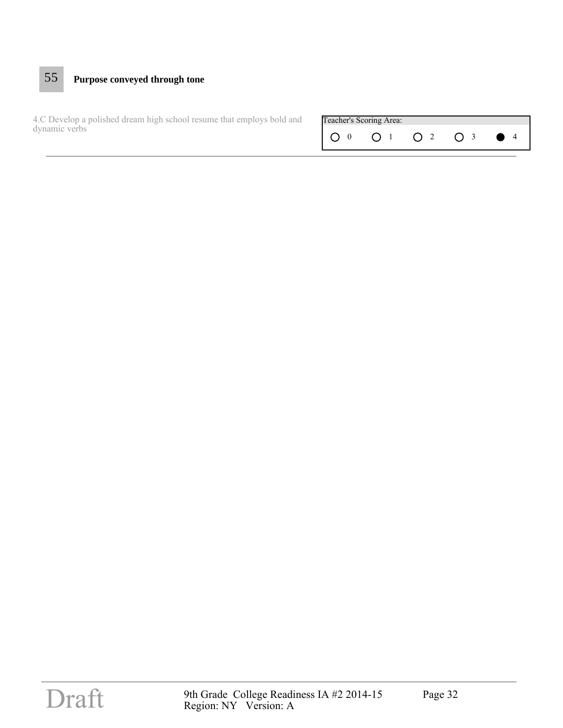# 55 **Purpose conveyed through tone**

O 0 0 1 O 2 O 3 0 4 4.C Develop a polished dream high school resume that employs bold and **Teacher's Scoring Area:** dynamic verbs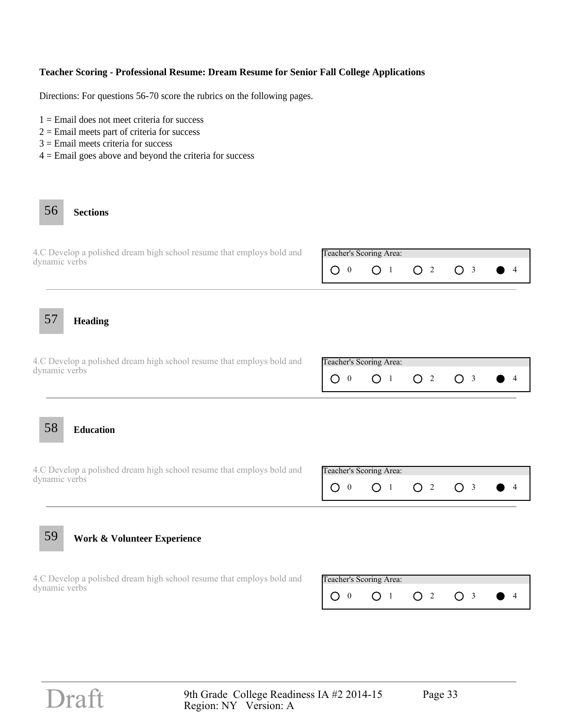#### **Teacher Scoring - Professional Resume: Dream Resume for Senior Fall College Applications**

Directions: For questions 56-70 score the rubrics on the following pages.

- $1 =$  Email does not meet criteria for success
- $2 =$  Email meets part of criteria for success
- 3 = Email meets criteria for success
- $4 =$  Email goes above and beyond the criteria for success

## 56 **Sections**

| 4.C Develop a polished dream high school resume that employs bold and | Teacher's Scoring Area:   |  |  |
|-----------------------------------------------------------------------|---------------------------|--|--|
| dynamic verbs                                                         | $100$ $01$ $02$ $03$ $04$ |  |  |

57 **Heading**

4.C Develop a polished dream high school resume that employs bold and dynamic verbs

| Teacher's Scoring Area: |  |  |
|-------------------------|--|--|
|                         |  |  |

#### 58 **Education**

4.C Develop a polished dream high school resume that employs bold and Teacher's Scoring Area: dynamic verbs



# 59 **Work & Volunteer Experience**

4.C Develop a polished dream high school resume that employs bold and dynamic verbs

| Teacher's Scoring Area: |  |  |
|-------------------------|--|--|
|                         |  |  |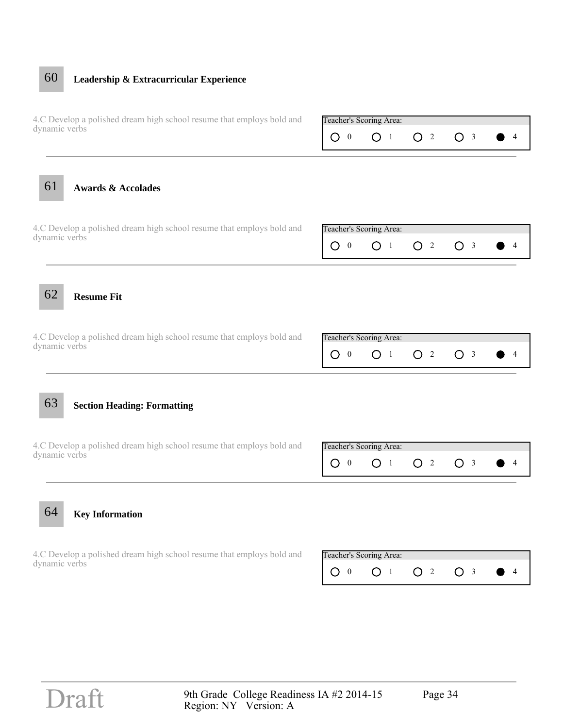# 60 **Leadership & Extracurricular Experience**

| 4.C Develop a polished dream high school resume that employs bold and<br>dynamic verbs |                                     | Teacher's Scoring Area:                   |                     |                |                |
|----------------------------------------------------------------------------------------|-------------------------------------|-------------------------------------------|---------------------|----------------|----------------|
|                                                                                        | O<br>$\bf{0}$                       | O <sub>1</sub>                            | O <sub>2</sub>      | O <sub>3</sub> | 4              |
| 61<br><b>Awards &amp; Accolades</b>                                                    |                                     |                                           |                     |                |                |
| 4.C Develop a polished dream high school resume that employs bold and<br>dynamic verbs |                                     | Teacher's Scoring Area:                   |                     |                |                |
|                                                                                        | O<br>$\overline{0}$                 | O <sub>1</sub>                            | O <sup>2</sup>      | O <sub>3</sub> | $\overline{4}$ |
| 62<br><b>Resume Fit</b>                                                                |                                     |                                           |                     |                |                |
| 4.C Develop a polished dream high school resume that employs bold and<br>dynamic verbs | $\circ$<br>$\overline{\phantom{0}}$ | Teacher's Scoring Area:<br>O <sub>1</sub> | O <sub>2</sub>      | O <sub>3</sub> | 4              |
| 63<br><b>Section Heading: Formatting</b>                                               |                                     |                                           |                     |                |                |
| 4.C Develop a polished dream high school resume that employs bold and                  |                                     | Teacher's Scoring Area:                   |                     |                |                |
| dynamic verbs                                                                          | O<br>$\overline{0}$                 | $\circ$<br>$\overline{1}$                 | O<br>$\overline{2}$ | O <sub>3</sub> | 4              |
| 64<br><b>Key Information</b>                                                           |                                     |                                           |                     |                |                |
| 4.C Develop a polished dream high school resume that employs bold and<br>dynamic verbs |                                     | Teacher's Scoring Area:                   |                     |                |                |
|                                                                                        | $\bigcirc$ 0                        | O <sub>1</sub>                            | O <sup>2</sup>      | O <sub>3</sub> | 4              |
|                                                                                        |                                     |                                           |                     |                |                |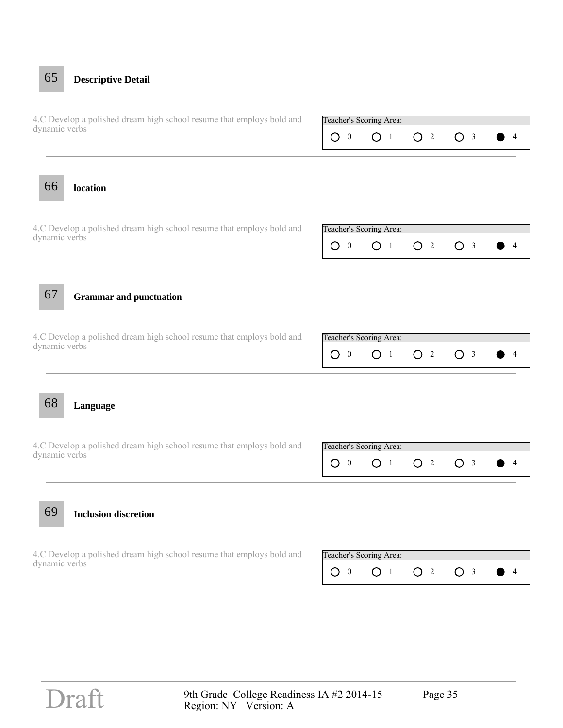# O 0 0 1 O 2 O 3 0 4 4.C Develop a polished dream high school resume that employs bold and Teacher's Scoring Area: dynamic verbs O 0 0 1 O 2 O 3 0 4 4.C Develop a polished dream high school resume that employs bold and Teacher's Scoring Area: dynamic verbs 69 **Inclusion discretion** O 0 0 1 O 2 O 3 0 4 4.C Develop a polished dream high school resume that employs bold and Teacher's Scoring Area: dynamic verbs 68 **Language** O 0 0 1 O 2 O 3 0 4 4.C Develop a polished dream high school resume that employs bold and Teacher's Scoring Area: dynamic verbs 67 **Grammar and punctuation** O 0 0 1 O 2 O 3 0 4 4.C Develop a polished dream high school resume that employs bold and Teacher's Scoring Area: dynamic verbs 66 **location** 65 **Descriptive Detail**